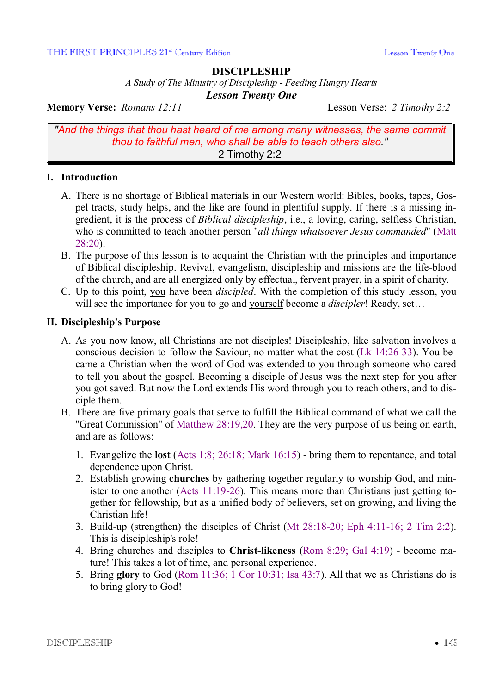### **DISCIPLESHIP**

*A Study of The Ministry of Discipleship - Feeding Hungry Hearts Lesson Twenty One* 

**Memory Verse:** *Romans 12:11* Lesson Verse: *2 Timothy 2:2*

*"And the things that thou hast heard of me among many witnesses, the same commit thou to faithful men, who shall be able to teach others also."* 2 Timothy 2:2

## **I. Introduction**

- A. There is no shortage of Biblical materials in our Western world: Bibles, books, tapes, Gospel tracts, study helps, and the like are found in plentiful supply. If there is a missing ingredient, it is the process of *Biblical discipleship*, i.e., a loving, caring, selfless Christian, who is committed to teach another person "*all things whatsoever Jesus commanded*" (Matt 28:20).
- B. The purpose of this lesson is to acquaint the Christian with the principles and importance of Biblical discipleship. Revival, evangelism, discipleship and missions are the life-blood of the church, and are all energized only by effectual, fervent prayer, in a spirit of charity.
- C. Up to this point, you have been *discipled*. With the completion of this study lesson, you will see the importance for you to go and yourself become a *discipler*! Ready, set…

### **II. Discipleship's Purpose**

- A. As you now know, all Christians are not disciples! Discipleship, like salvation involves a conscious decision to follow the Saviour, no matter what the cost (Lk 14:26-33). You became a Christian when the word of God was extended to you through someone who cared to tell you about the gospel. Becoming a disciple of Jesus was the next step for you after you got saved. But now the Lord extends His word through you to reach others, and to disciple them.
- B. There are five primary goals that serve to fulfill the Biblical command of what we call the "Great Commission" of Matthew 28:19,20. They are the very purpose of us being on earth, and are as follows:
	- 1. Evangelize the **lost** (Acts 1:8; 26:18; Mark 16:15) bring them to repentance, and total dependence upon Christ.
	- 2. Establish growing **churches** by gathering together regularly to worship God, and minister to one another (Acts 11:19-26). This means more than Christians just getting together for fellowship, but as a unified body of believers, set on growing, and living the Christian life!
	- 3. Build-up (strengthen) the disciples of Christ (Mt 28:18-20; Eph 4:11-16; 2 Tim 2:2). This is discipleship's role!
	- 4. Bring churches and disciples to **Christ-likeness** (Rom 8:29; Gal 4:19) become mature! This takes a lot of time, and personal experience.
	- 5. Bring **glory** to God (Rom 11:36; 1 Cor 10:31; Isa 43:7). All that we as Christians do is to bring glory to God!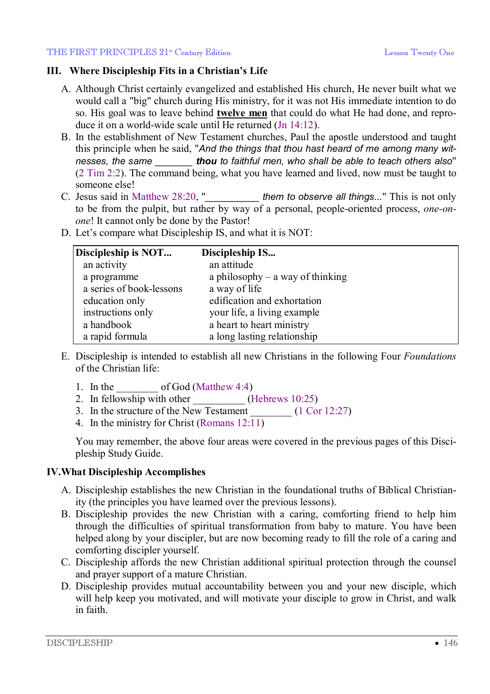# **III. Where Discipleship Fits in a Christian's Life**

- A. Although Christ certainly evangelized and established His church, He never built what we would call a "big" church during His ministry, for it was not His immediate intention to do so. His goal was to leave behind **twelve men** that could do what He had done, and reproduce it on a world-wide scale until He returned (Jn 14:12).
- B. In the establishment of New Testament churches, Paul the apostle understood and taught this principle when he said, "*And the things that thou hast heard of me among many witnesses, the same \_\_\_\_\_\_\_ thou to faithful men, who shall be able to teach others also*" (2 Tim 2:2). The command being, what you have learned and lived, now must be taught to someone else!
- C. Jesus said in Matthew 28:20, "*\_\_\_\_\_\_\_\_\_\_ them to observe all things...*" This is not only to be from the pulpit, but rather by way of a personal, people-oriented process, *one-onone*! It cannot only be done by the Pastor!
- D. Let's compare what Discipleship IS, and what it is NOT:

| Discipleship is NOT      | Discipleship IS                    |  |
|--------------------------|------------------------------------|--|
| an activity              | an attitude                        |  |
| a programme              | a philosophy $-$ a way of thinking |  |
| a series of book-lessons | a way of life                      |  |
| education only           | edification and exhortation        |  |
| instructions only        | your life, a living example        |  |
| a handbook               | a heart to heart ministry          |  |
| a rapid formula          | a long lasting relationship        |  |

- E. Discipleship is intended to establish all new Christians in the following Four *Foundations* of the Christian life:
	- 1. In the  $\_\_\_\_\_\$  of God (Matthew 4:4)
	- 2. In fellowship with other  $(Hebrews 10:25)$
	- 3. In the structure of the New Testament  $(1 \text{ Cor } 12:27)$
	- 4. In the ministry for Christ (Romans 12:11)

You may remember, the above four areas were covered in the previous pages of this Discipleship Study Guide.

# **IV.What Discipleship Accomplishes**

- A. Discipleship establishes the new Christian in the foundational truths of Biblical Christianity (the principles you have learned over the previous lessons).
- B. Discipleship provides the new Christian with a caring, comforting friend to help him through the difficulties of spiritual transformation from baby to mature. You have been helped along by your discipler, but are now becoming ready to fill the role of a caring and comforting discipler yourself.
- C. Discipleship affords the new Christian additional spiritual protection through the counsel and prayer support of a mature Christian.
- D. Discipleship provides mutual accountability between you and your new disciple, which will help keep you motivated, and will motivate your disciple to grow in Christ, and walk in faith.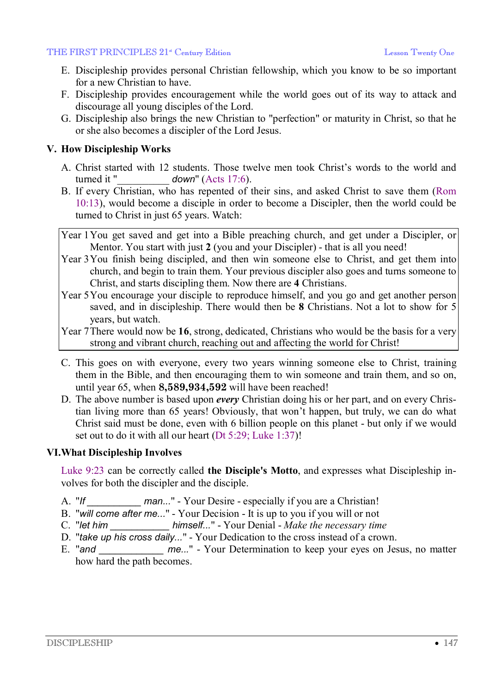#### THE FIRST PRINCIPLES 21<sup>st</sup> Century Edition Lesson Twenty One Lesson Twenty One

- E. Discipleship provides personal Christian fellowship, which you know to be so important for a new Christian to have.
- F. Discipleship provides encouragement while the world goes out of its way to attack and discourage all young disciples of the Lord.
- G. Discipleship also brings the new Christian to "perfection" or maturity in Christ, so that he or she also becomes a discipler of the Lord Jesus.

#### **V. How Discipleship Works**

- A. Christ started with 12 students. Those twelve men took Christ's words to the world and turned it "\_\_\_\_\_\_\_\_\_\_ *down*" (Acts 17:6).
- B. If every Christian, who has repented of their sins, and asked Christ to save them (Rom 10:13), would become a disciple in order to become a Discipler, then the world could be turned to Christ in just 65 years. Watch:
- Year 1You get saved and get into a Bible preaching church, and get under a Discipler, or Mentor. You start with just **2** (you and your Discipler) - that is all you need!
- Year 3You finish being discipled, and then win someone else to Christ, and get them into church, and begin to train them. Your previous discipler also goes and turns someone to Christ, and starts discipling them. Now there are **4** Christians.
- Year 5You encourage your disciple to reproduce himself, and you go and get another person saved, and in discipleship. There would then be **8** Christians. Not a lot to show for 5 years, but watch.
- Year 7There would now be **16**, strong, dedicated, Christians who would be the basis for a very strong and vibrant church, reaching out and affecting the world for Christ!
- C. This goes on with everyone, every two years winning someone else to Christ, training them in the Bible, and then encouraging them to win someone and train them, and so on, until year 65, when **8,589,934,592** will have been reached!
- D. The above number is based upon *every* Christian doing his or her part, and on every Christian living more than 65 years! Obviously, that won't happen, but truly, we can do what Christ said must be done, even with 6 billion people on this planet - but only if we would set out to do it with all our heart (Dt 5:29; Luke 1:37)!

## **VI.What Discipleship Involves**

Luke 9:23 can be correctly called **the Disciple's Motto**, and expresses what Discipleship involves for both the discipler and the disciple.

- A. "*If \_\_\_\_\_\_\_\_\_\_ man...*" Your Desire especially if you are a Christian!
- B. "*will come after me...*" Your Decision It is up to you if you will or not
- C. "*let him \_\_\_\_\_\_\_\_\_\_\_ himself...*" Your Denial *Make the necessary time*
- D. "*take up his cross daily...*" Your Dedication to the cross instead of a crown.
- E. "and *me...*" Your Determination to keep your eyes on Jesus, no matter how hard the path becomes.